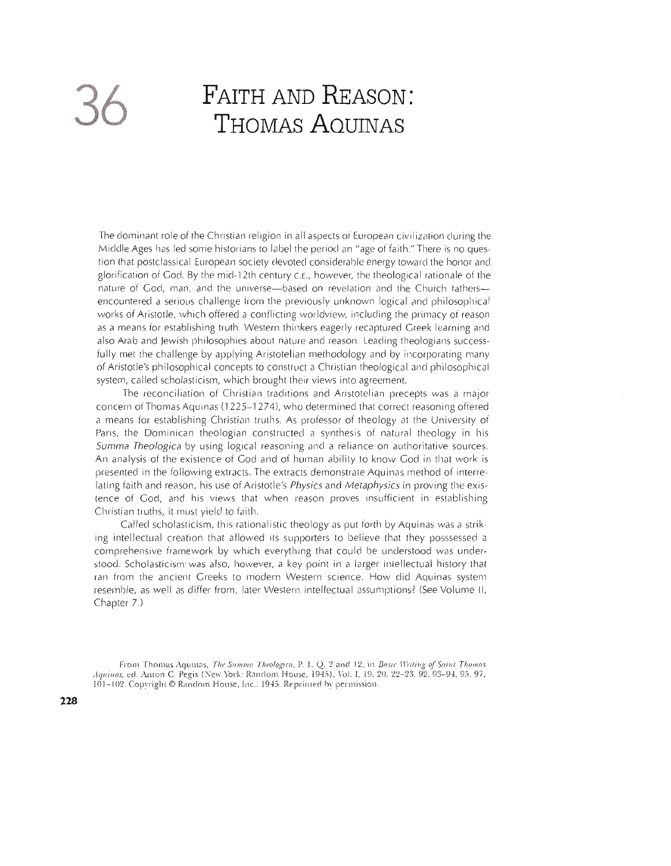## FAITH AND REASON: **THOMAS AQUINAS**

The dominant role of the Christian religion in all aspects of European civilization during the Middle Ages has led some historians to label the period an "age of faith." There is no question that postclassical European society devoted considerable energy toward the honor and glorification of God. By the mid-12th century c.E., however, the theological rationale of the nature of God, man, and the universe—based on revelation and the Church fathers encountered a serious challenge from the previously unknown logical and philosophical works of Aristotle, which offered a conflicting worldview, including the primacy of reason as a means for establishing truth. Western thinkers eagerly recaptured Greek learning and also Arab and Jewish philosophies about nature and reason. Leading theologians successfully met the challenge by applying Aristotelian methodology and by incorporating many of Aristotle's philosophical concepts to construct a Christian theological and philosophical system, called scholasticism, which brought their views into agreement.

The reconciliation of Christian traditions and Aristotelian precepts was a major concern of Thomas Aquinas (1225-1274), who determined that correct reasoning offered a means for establishing Christian truths. As professor of theology at the University of Paris, the Dominican theologian constructed a synthesis of natural theology in his Summa Theologica by using logical reasoning and a reliance on authoritative sources. An analysis of the existence of God and of human ability to know God in that work is presented in the following extracts. The extracts demonstrate Aquinas method of interrelating faith and reason, his use of Aristotle's *Physics* and *Metaphysics* in proving the existence of God, and his views that when reason proves insufficient in establishing Christian truths, it must yield to faith.

Called scholasticism, this rationalistic theology as put forth by Aquinas was a striking intellectual creation that allowed its supporters to believe that they posssessed a comprehensive framework by which everything that could be understood was understood. Scholasticism was also, however, a key point in a larger intellectual history that ran from the ancient Greeks to modern Western science. How did Aquinas system resemble, as well as differ from, later Western intellectual assumptions? (See Volume II, Chapter 7.)

From Thomas Aquinas, The Summa Theologica, P. 1. Q. 2 and 12, in Basic Writing of Saint Thomas Aquinas, ed. Anton C. Pegis (New York: Random House, 1945), Vol. 1, 19, 20, 22-23, 92, 93-94, 95, 97, 101-102. Copyright © Random House, Inc., 1945. Reprinted by permission.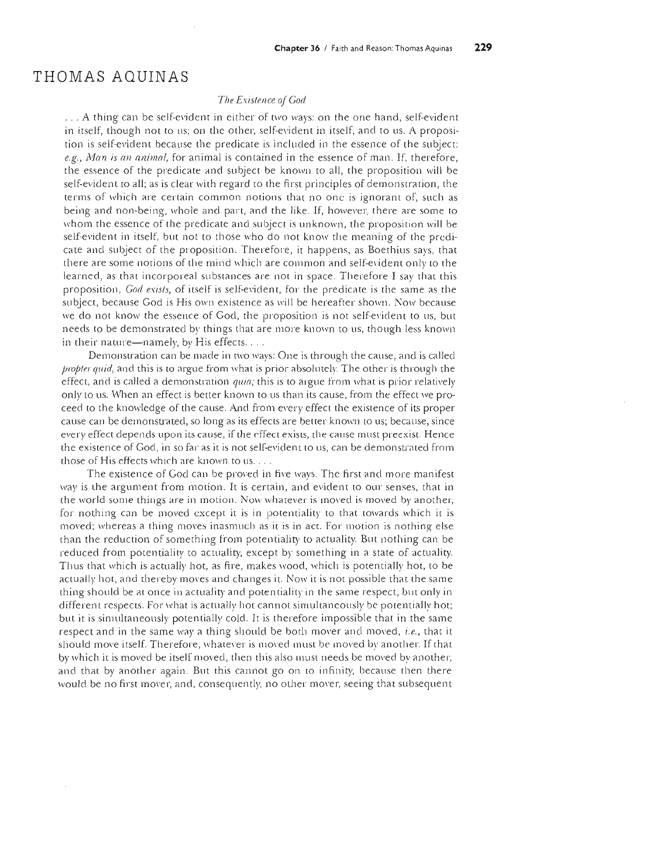## THOMAS AQUINAS

## *The Existence oJ God*

 $\dots$  A thing can be self-evident in either of two ways: on the one hand, self-evident in itself, though not to us; on the other, self-evident in itself, and to us. A proposition is self-evident because the predicate is included in the essence of the subject: e.g., Man is an animal, for animal is contained in the essence of man. If, therefore, the essence of the predicate and subject be known to all, the proposition will be self-evident to all; as is clear with regard to the first principles of demonstration, the terms of which are certain common notions that no one is ignorant of, such as being and non-being, whole and part, and the like. If, however, there are some to whom the essence of the predicate and subject is unknown, the proposition will be self-evident in itself, but not to those who do not know the meaning of the predicate and subject of the proposition. Therefore, it happens, as Boethius says, that there are some notions of the mind which are common and self-evident only to the learned, as that incorporeal substances are not in space. Therefore I say that this proposition, *God exists*, of itself is self-evident, for the predicate is the same as the subject, because God is His own existence as will be hereafter shown. Now because we do not know the essence of God, the proposition is not self-evident to us, but needs to be demonstrated by things that are more known to us, though less known in their nature—namely, by His effects....

Demonstration can be made in two ways: One is through the cause, and is called *propter quid*, and this is to argue from what is prior absolutely. The other is through the effect, and is called a demonstration *quia;* this is to argue from what is prior relatively only to us. When an effect is better known to us than its cause, from the effect we proceed to the knowledge of the cause. And from every effect the existence of its proper cause can be demonstrated, so long as its effects are better known to us; because, since every effect depends upon its cause, if the effect exists, the cause must preexist. Hence the existence of God, in so far as it is not self-evident to us, can be demonstrated from those of His effects which are known to us...

The existence of God can be proved in five ways. The first and more manifest way is the argument from motion. It is certain, and evident to our senses, that in the world some things are in motion. Now whatever is moved is moved by another, for nothing can be moved except it is in potentiality to that towards which it is moved; whereas a thing moves inasmuch as it is in act. For motion is nothing else than the reduction of something from potentiality to actuality But nothing can be reduced from potentiality to actuality, except by something in a state of actuality. Thus that which is actually hot, as fire, makes wood, which is potentially hot, to be actually hot, and thereby moves and changes it. Now it is not possible that the same thing should be at once in actuality and potentiality in the same respect, but only in different respects. For what is actually hot cannot simultaneously be potentially hot; but it is simultaneously potentially cold. It is therefore impossible that in the same respect and in the same way a thing should be both mover and moved, *i.e.,* that it should move itself. Therefore, whatever is moved must be moved by another. If that by which it is moved be itself moved, then this also must needs be moved by another, and that by another again. But this cannot go on to infinity, because tben there would be no first mover, and, consequently, no other mover, seeing that subsequent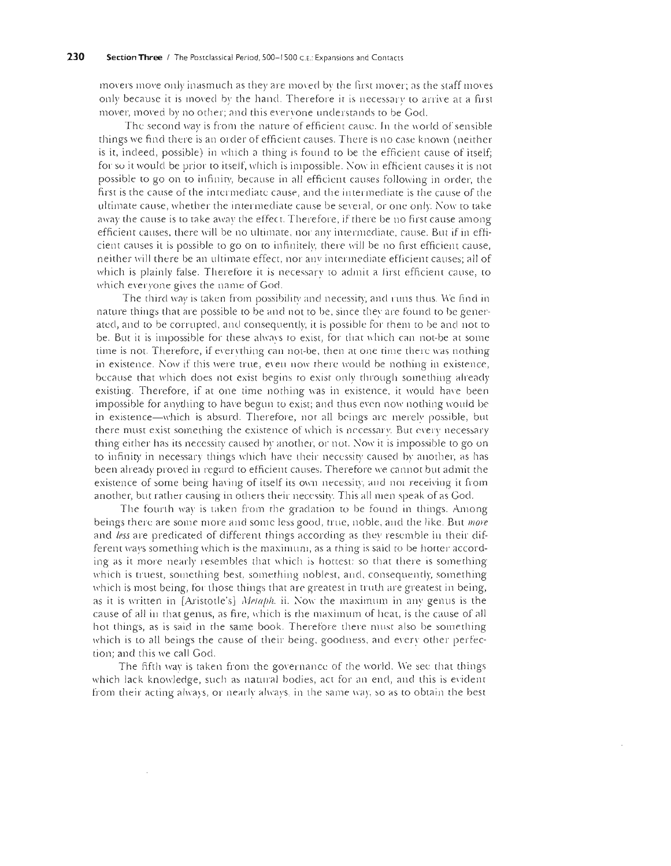movers move only inasmuch as they are moved by the first mover; as the staff moves only because it is moved by the hand. Therefore it is necessary to arrive at a first mover, moved by no other; and this everyone understands to be God.

The second way is from the nature of efficient cause. In the world of sensible things we find there is an order of efficient causes. There is no case known (neither is it, indeed, possible) in which a thing is found to be the efficient cause of itself; for so it would be prior to itself, which is impossible. Now in efficient causes it is not possible to go on to infinity, because in all efficient causes following in order, the first is the cause of the intermediate cause, and the intermediate is the cause of the ultimate cause, whether the intermediate cause be several, or one only. Now to take away the cause is to take away the effect. Therefore, if there be no first cause among efficient causes, there will be no ultimate, nor any intermediate, cause. But if in efficient causes it is possible to go on to infinitely, there will be no first efficient cause, neither will there be an ultimate effect, nor any intermediate efficient causes; all of which is plainly false. Therefore it is necessary to admit a first efficient cause, to which everyone gives the name of God.

The third way is taken from possibility and necessity, and runs thus. We find in nature things that are possible to be and not to be, since they are found to be generated, and to be corrupted, and consequently, it is possible for them to be and not to be. But it is impossible for these always to exist, for that which can not-be at some time is not. Therefore, if everything can not-be, then at one time there was nothing in existence. Now if this were true, even now there would be nothing in existence, because that which does not exist begins to exist only through something already existing. Therefore, if at one time nothing was in existence, it would have been impossible for anything to have begun to exist; and thus even now nothing would be in existence—which is absurd. Therefore, not all beings are merely possible, but there must exist something the existence of which is necessary. But every necessary thing either has its necessity caused by another, or not. Now it is impossible to go on to infinity in necessary things which have their necessity caused by another, as has been already proved in regard to efficient causes. Therefore we cannot but admit the existence of some being having of itself its own necessity, and not receiving it from another, but rather causing in others their necessity. This all men speak of as God.

The fourth way is taken from the gradation to be found in things. Among beings there are some more and some less good, true, noble, and the like. But more and less are predicated of different things according as they resemble in their different ways something which is the maximum, as a thing is said to be hotter according as it more nearly resembles that which is hottest: so that there is something which is truest, something best, something noblest, and, consequently, something which is most being, for those things that are greatest in truth are greatest in being, as it is written in [Aristotle's] *Metaph*. ii. Now the maximum in any genus is the cause of all in that genus, as fire, which is the maximum of heat, is the cause of all hot things, as is said in the same book. Therefore there must also be something which is to all beings the cause of their being, goodness, and every other perfection: and this we call God.

The fifth way is taken from the governance of the world. We see that things which lack knowledge, such as natural bodies, act for an end, and this is evident from their acting always, or nearly always, in the same way, so as to obtain the best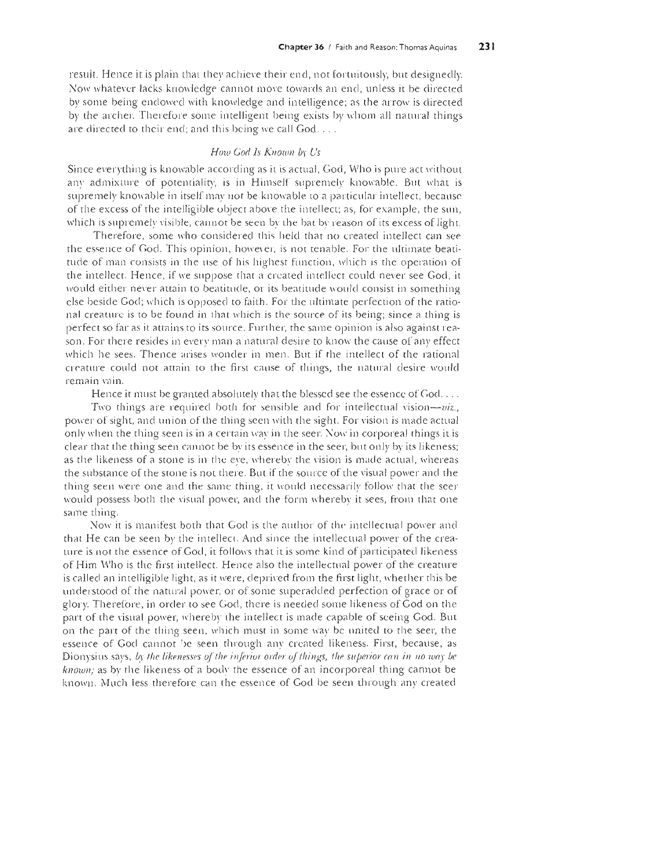result. Hence it is plain that they achieve their end, not fortuitously, but designedly. Now whatever lacks knowledge cannot move towards an end, unless it be directed by some being endowed with knowledge and intelligence; as the arrow is directed by the archer. Therefore some intelligent being exists by whom all natural things are directed to their end; and this being we call God....

## *How God Is Knowil* by *Us*

Since everything is knowable according as it is actual, God, Who is pure act without any admixture of potentiality, is in Himself supremely knowable. But what is supremely knowable in itself may not be knowable to a particular intellect, because of the excess of the intelligible object above the intellect; as, for example, the sun, which is supremely visible, cannot be seen by the bat by reason of its excess of light.

Therefore, some who considered this held that no created intellect can see the essence of God. This opinion, however, is not tenable. For the ultimate beatitude of man consists in the use of his highest function, which is the operation of the intellect. Hence, if we suppose that a created intellect could never see God, it would either never attain to beatitude, or its beatitude would consist in something else beside God; which is opposed to faith. For the ultimate perfection of the rational creature is to be found in that which is the source of its being; since a thing is perfect so far as it attains to its source. Further, the same opinion is also against reason. For there resides in every man a natural desire to know the cause of any effect which he sees. Thence arises wonder in men. But if the intellect of the rational creature could not attain to the first cause of things, the natural desire would remain vain.

Hence it must be granted absolutely that the blessed see the essence of God. . . .

Two things are required both for sensible and for intellectual vision-viz. power of sight, and union of the thing seen with the sight. For \'ision is made actual only when the thing seen is in a certain way in the seer. Now in corporeal things it is clear that the thing seen cannot be by its essence in the seer, but only by its likeness; as the likeness of a stone is in the eye, whereby the vision is made actual, whereas the substance of the stone is not there, But if the source of the visual power and the thing seen were one and the same thing, it would necessarily follow that the seer would possess both the visual power, and the form whereby it sees, from that one same thing.

Now it is manifest both that God is the author of the intellectual power and that He can be seen by the intellect. And since the intellectual power of the creature is not the essence of God, it follows that it is some kind of participated likeness of Him Who is the first intellect. Hence also the intellectual power of the creature is called an intelligible light, as it were, deprived from the first light, whether this be understood of the natural power, or of some superadded perfection of grace or of glory. Therefore, in order to see God, there is needed some likeness of God on the part of the visual power, whereby the intellect is made capable of sceing God. But on the part of the thing seen, which must in some way be united to the seer, the essence of God cannot be seen through any created likeness. First, because, as Dionysius says, *by the likenesses of the inferior order of things, the superior can in no way be known*; as by the likeness of a body the essence of an incorporeal thing cannot be known. Much less therefore can the essence of God be seen through any created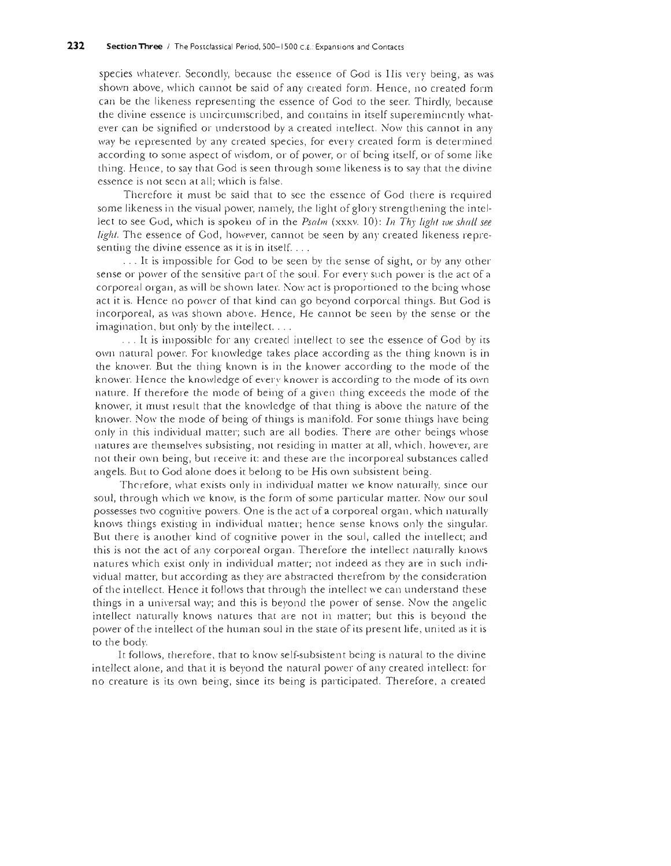species whatever. Secondly, because the essence of God is His very being, as was shown above, which cannot be said of any created form. Hence, no created form can be the likeness represen ting the essence of God to the seer. Thirdly, because the divine essence is uncircumscribed, and contains in itself supereminently whatever can be signified or understood by a created intellect. Now this cannot in any way be represented by any created species, for every created form is determined according to some aspect of wisdom, or of power, or of being itself, or of some like thing, Hence, to say that God is seen through some likeness is to say that the divine essence is not seen at all; which is false.

Therefore it must be said that to see the essence of God there is required some likeness in the visual power, namely, the light of glory strengthening the intellect to see God, which is spoken of in the *Psalm* (xxxv. 10): In Thy light we shall see *light*. The essence of God, however, cannot be seen by any created likeness representing the divine essence as it is in itself.  $\dots$ 

. . . It is impossible for God to be seen by the sense of sight, or by any other sense or power of the sensitive part of the soul. For every such power is the act of a corporeal organ, as will be shown later. Now act is proportioned to the being whose act it is. Hence no power of that kind can go beyond corporeal things. But God is incorporeal, as was shown above. Hence, He cannot be seen by the sense or the imagination, but only by the intellect.  $\dots$ 

... It is impossible for any created intellect to see the essence of God by its own natural power. For knowledge takes place according as the thing known is in the knower. But the thing known is in the knower according to the mode of the knower. Hence the knowledge of every knower is according to the mode of its own nature. If therefore the mode of being of a given thing exceeds the mode of the knower, it must result that the knowledge of that thing is above the nature of the knower. Now the mode of being of things is manifold. For some things have being only in this individual matter; such are all bodies. There are other beings whose natures are themselves subsisting, not residing in matter at all, which, however, are not their own being, but receive it: and these are the incorporeal substances called angels. But to God alone does it belong to be His own subsistent being.

Therefore, what exists only in individual matter we know naturally, since our soul, through which we know, is the form of some particular matter. Now our soul possesses two cognitive powers. One is the act of a corporeal organ, which naturally knows things existing in individual matter; hence sense knows only the singular. But there is another kind of cognitive power in the soul, called the intellect; and this is not the act of any corporeal organ. Therefore the intellect naturally knows natures which exist only in individual matter; not indeed as they are in such inclividual matter, but according as they are abstracted therefrom by the consideration of the intellect. Hence it follows that through the intellect we can understand these things in a universal way; and this is beyond the power of sense. Now the angelic intellect naturally knows natures that are not in matter; but this is beyond the power of the intellect of the human soul in the state of its present life, united as it is to the body.

It follows, therefore, that to know self-subsistent being is natural to the divine in tellect alone, and that it is beyond the natural power of any created intellect: for no creature is its own being, since its being is participated. Therefore, a created